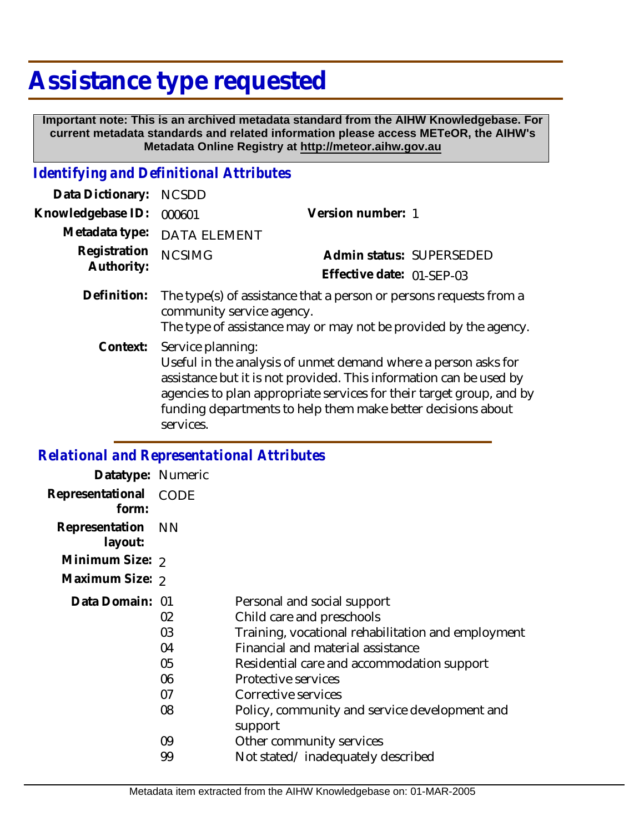# **Assistance type requested**

 **Important note: This is an archived metadata standard from the AIHW Knowledgebase. For current metadata standards and related information please access METeOR, the AIHW's Metadata Online Registry at http://meteor.aihw.gov.au**

### *Identifying and Definitional Attributes*

| Data Dictionary:           | <b>NCSDD</b>                                                                                                                                                                                                                                                                                                                                                                                                                                                                          |                           |
|----------------------------|---------------------------------------------------------------------------------------------------------------------------------------------------------------------------------------------------------------------------------------------------------------------------------------------------------------------------------------------------------------------------------------------------------------------------------------------------------------------------------------|---------------------------|
| Knowledgebase ID:          | 000601                                                                                                                                                                                                                                                                                                                                                                                                                                                                                | Version number: 1         |
| Metadata type:             | <b>DATA ELEMENT</b>                                                                                                                                                                                                                                                                                                                                                                                                                                                                   |                           |
| Registration<br>Authority: | <b>NCSIMG</b>                                                                                                                                                                                                                                                                                                                                                                                                                                                                         | Admin status: SUPERSEDED  |
|                            |                                                                                                                                                                                                                                                                                                                                                                                                                                                                                       | Effective date: 01-SEP-03 |
| Definition:                | The type(s) of assistance that a person or persons requests from a<br>community service agency.<br>The type of assistance may or may not be provided by the agency.<br>Service planning:<br>Useful in the analysis of unmet demand where a person asks for<br>assistance but it is not provided. This information can be used by<br>agencies to plan appropriate services for their target group, and by<br>funding departments to help them make better decisions about<br>services. |                           |
| Context:                   |                                                                                                                                                                                                                                                                                                                                                                                                                                                                                       |                           |

#### *Relational and Representational Attributes*

| Datatype: Numeric            |          |                                                                                 |
|------------------------------|----------|---------------------------------------------------------------------------------|
| Representational<br>form:    | CODE     |                                                                                 |
| Representation NN<br>layout: |          |                                                                                 |
| Minimum Size: 2              |          |                                                                                 |
| Maximum Size: 2              |          |                                                                                 |
| Data Domain: 01              |          | Personal and social support                                                     |
|                              | 02<br>03 | Child care and preschools<br>Training, vocational rehabilitation and employment |
|                              | 04       | Financial and material assistance                                               |
|                              | 05       | Residential care and accommodation support                                      |
|                              | 06       | Protective services                                                             |
|                              | 07       | Corrective services                                                             |
|                              | 08       | Policy, community and service development and<br>support                        |
|                              | 09       | Other community services                                                        |
|                              | 99       | Not stated/inadequately described                                               |